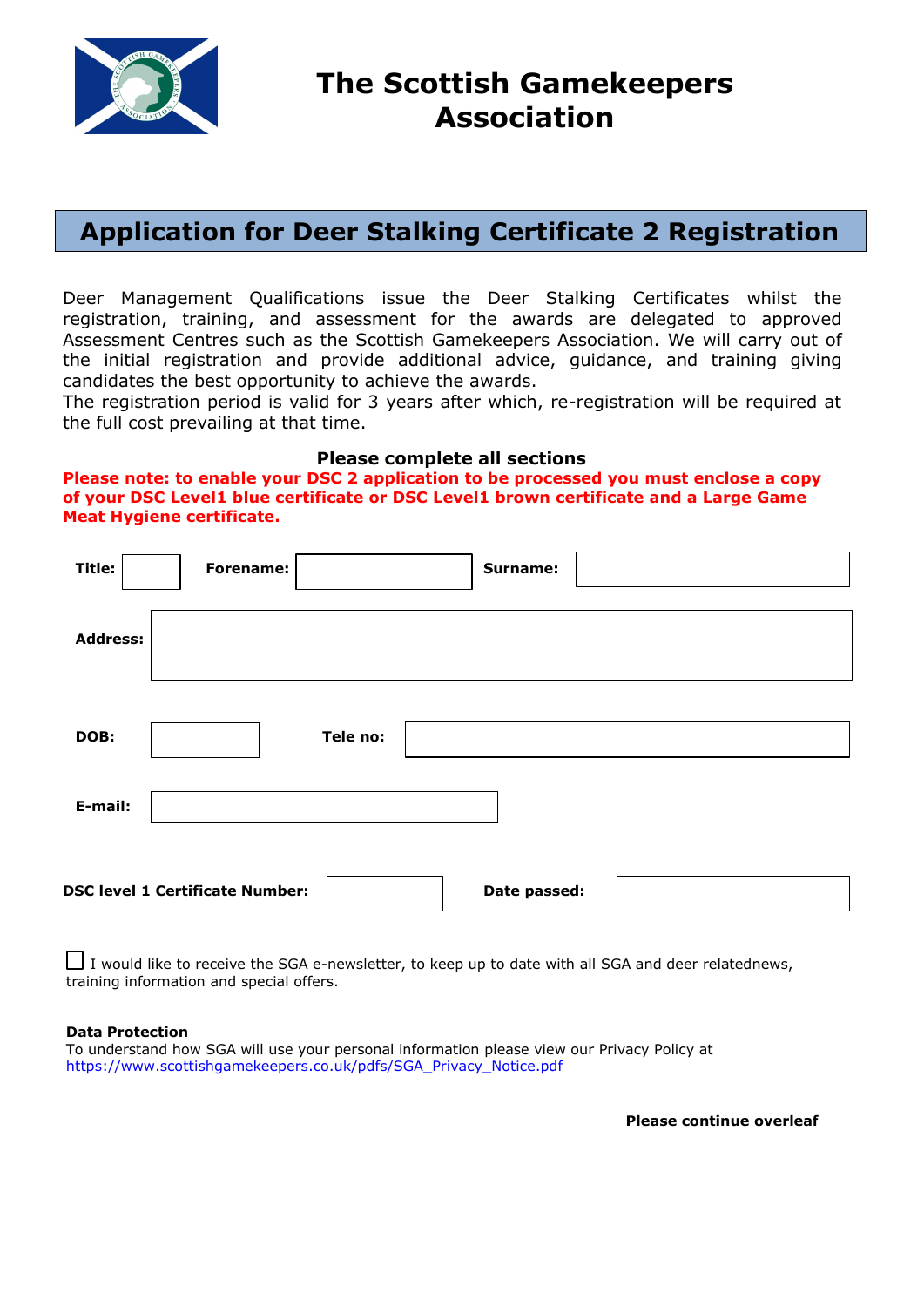

## **Application for Deer Stalking Certificate 2 Registration**

Deer Management Qualifications issue the Deer Stalking Certificates whilst the registration, training, and assessment for the awards are delegated to approved Assessment Centres such as the Scottish Gamekeepers Association. We will carry out of the initial registration and provide additional advice, guidance, and training giving candidates the best opportunity to achieve the awards.

The registration period is valid for 3 years after which, re-registration will be required at the full cost prevailing at that time.

#### **Please complete all sections**

**Please note: to enable your DSC 2 application to be processed you must enclose a copy of your DSC Level1 blue certificate or DSC Level1 brown certificate and a Large Game Meat Hygiene certificate.**

| Title:                                                 | Forename: |          | Surname: |  |  |  |  |
|--------------------------------------------------------|-----------|----------|----------|--|--|--|--|
| <b>Address:</b>                                        |           |          |          |  |  |  |  |
| DOB:                                                   |           | Tele no: |          |  |  |  |  |
| E-mail:                                                |           |          |          |  |  |  |  |
| <b>DSC level 1 Certificate Number:</b><br>Date passed: |           |          |          |  |  |  |  |

 $\Box$  I would like to receive the SGA e-newsletter, to keep up to date with all SGA and deer relatednews, training information and special offers.

#### **Data Protection**

To understand how SGA will use your personal information please view our Privacy Policy at https://www.scottishgamekeepers.co.uk/pdfs/SGA\_Privacy\_Notice.pdf

**Please continue overleaf**